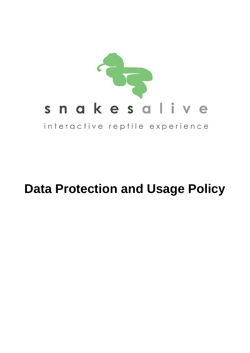

# **Data Protection and Usage Policy**